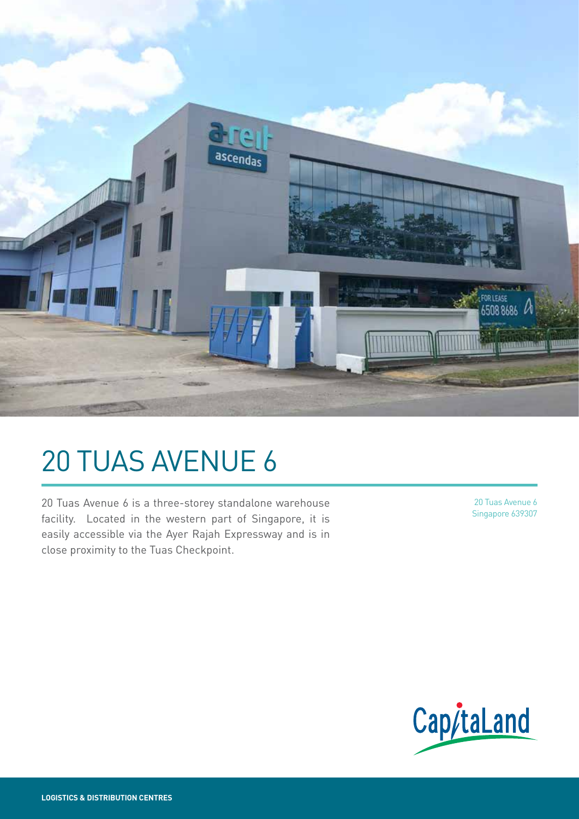

# 20 TUAS AVENUE 6

20 Tuas Avenue 6 is a three-storey standalone warehouse facility. Located in the western part of Singapore, it is easily accessible via the Ayer Rajah Expressway and is in close proximity to the Tuas Checkpoint.

20 Tuas Avenue 6 Singapore 639307